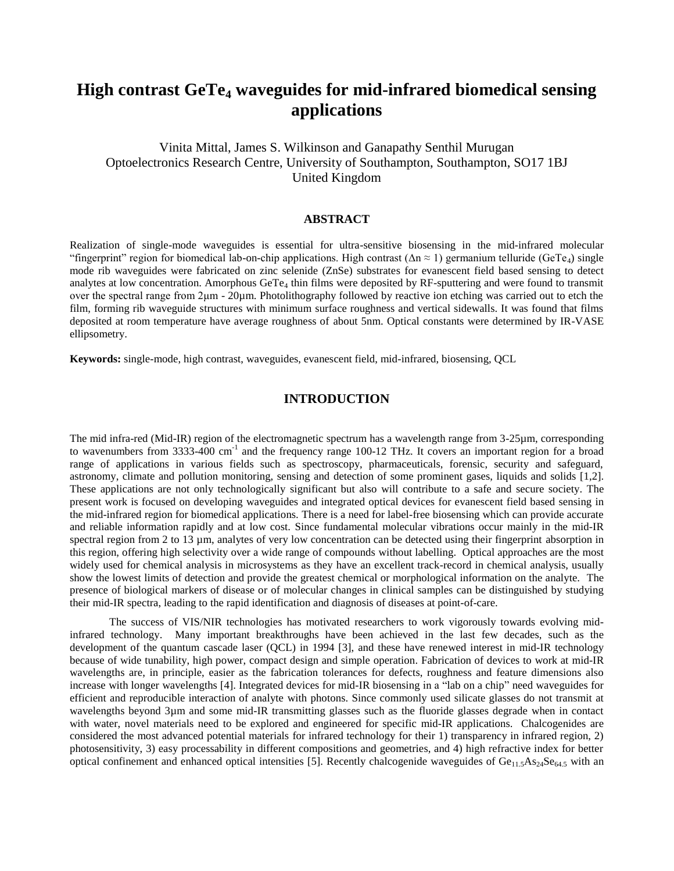# **High contrast GeTe<sup>4</sup> waveguides for mid-infrared biomedical sensing applications**

# Vinita Mittal, James S. Wilkinson and Ganapathy Senthil Murugan Optoelectronics Research Centre, University of Southampton, Southampton, SO17 1BJ United Kingdom

### **ABSTRACT**

Realization of single-mode waveguides is essential for ultra-sensitive biosensing in the mid-infrared molecular "fingerprint" region for biomedical lab-on-chip applications. High contrast ( $\Delta n \approx 1$ ) germanium telluride (GeTe<sub>4</sub>) single mode rib waveguides were fabricated on zinc selenide (ZnSe) substrates for evanescent field based sensing to detect analytes at low concentration. Amorphous GeTe<sub>4</sub> thin films were deposited by RF-sputtering and were found to transmit over the spectral range from 2μm - 20µm. Photolithography followed by reactive ion etching was carried out to etch the film, forming rib waveguide structures with minimum surface roughness and vertical sidewalls. It was found that films deposited at room temperature have average roughness of about 5nm. Optical constants were determined by IR-VASE ellipsometry.

**Keywords:** single-mode, high contrast, waveguides, evanescent field, mid-infrared, biosensing, QCL

# **INTRODUCTION**

The mid infra-red (Mid-IR) region of the electromagnetic spectrum has a wavelength range from 3-25µm, corresponding to wavenumbers from 3333-400 cm<sup>-1</sup> and the frequency range 100-12 THz. It covers an important region for a broad range of applications in various fields such as spectroscopy, pharmaceuticals, forensic, security and safeguard, astronomy, climate and pollution monitoring, sensing and detection of some prominent gases, liquids and solids [1,2]. These applications are not only technologically significant but also will contribute to a safe and secure society. The present work is focused on developing waveguides and integrated optical devices for evanescent field based sensing in the mid-infrared region for biomedical applications. There is a need for label-free biosensing which can provide accurate and reliable information rapidly and at low cost. Since fundamental molecular vibrations occur mainly in the mid-IR spectral region from 2 to 13 µm, analytes of very low concentration can be detected using their fingerprint absorption in this region, offering high selectivity over a wide range of compounds without labelling. Optical approaches are the most widely used for chemical analysis in microsystems as they have an excellent track-record in chemical analysis, usually show the lowest limits of detection and provide the greatest chemical or morphological information on the analyte. The presence of biological markers of disease or of molecular changes in clinical samples can be distinguished by studying their mid-IR spectra, leading to the rapid identification and diagnosis of diseases at point-of-care.

The success of VIS/NIR technologies has motivated researchers to work vigorously towards evolving midinfrared technology. Many important breakthroughs have been achieved in the last few decades, such as the development of the quantum cascade laser (QCL) in 1994 [3], and these have renewed interest in mid-IR technology because of wide tunability, high power, compact design and simple operation. Fabrication of devices to work at mid-IR wavelengths are, in principle, easier as the fabrication tolerances for defects, roughness and feature dimensions also increase with longer wavelengths [4]. Integrated devices for mid-IR biosensing in a "lab on a chip" need waveguides for efficient and reproducible interaction of analyte with photons. Since commonly used silicate glasses do not transmit at wavelengths beyond 3µm and some mid-IR transmitting glasses such as the fluoride glasses degrade when in contact with water, novel materials need to be explored and engineered for specific mid-IR applications. Chalcogenides are considered the most advanced potential materials for infrared technology for their 1) transparency in infrared region, 2) photosensitivity, 3) easy processability in different compositions and geometries, and 4) high refractive index for better optical confinement and enhanced optical intensities [5]. Recently chalcogenide waveguides of  $Ge_{11.5}As_{24}Se_{64.5}$  with an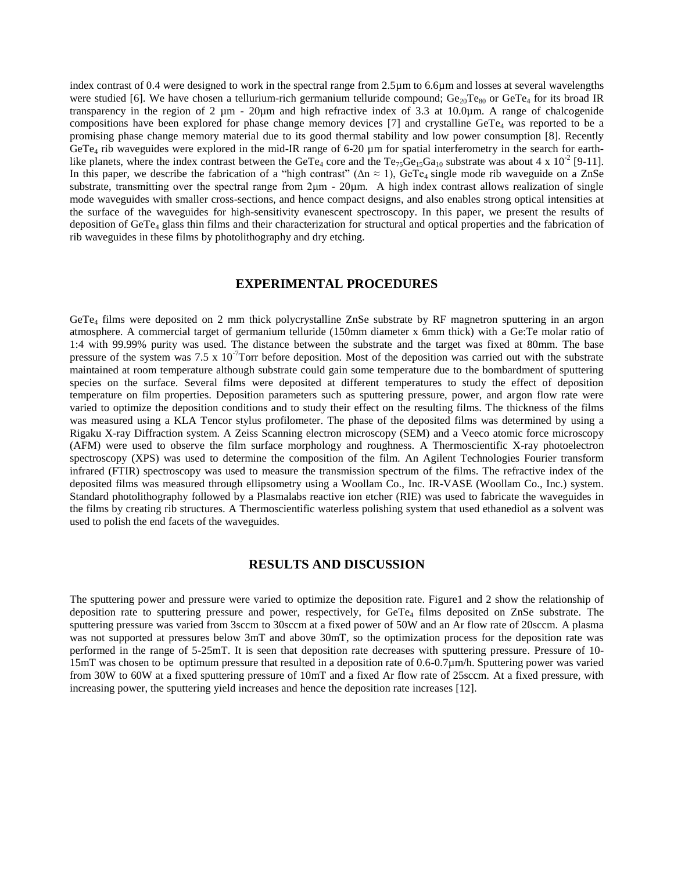index contrast of 0.4 were designed to work in the spectral range from 2.5µm to 6.6µm and losses at several wavelengths were studied [6]. We have chosen a tellurium-rich germanium telluride compound;  $Ge_{20}Te_{80}$  or GeTe<sub>4</sub> for its broad IR transparency in the region of 2  $\mu$ m - 20 $\mu$ m and high refractive index of 3.3 at 10.0 $\mu$ m. A range of chalcogenide compositions have been explored for phase change memory devices [7] and crystalline GeTe<sub>4</sub> was reported to be a promising phase change memory material due to its good thermal stability and low power consumption [8]. Recently GeTe<sub>4</sub> rib waveguides were explored in the mid-IR range of 6-20 µm for spatial interferometry in the search for earthlike planets, where the index contrast between the GeTe<sub>4</sub> core and the Te<sub>75</sub>Ge<sub>15</sub>Ga<sub>10</sub> substrate was about 4 x 10<sup>-2</sup> [9-11]. In this paper, we describe the fabrication of a "high contrast" ( $\Delta n \approx 1$ ), GeTe<sub>4</sub> single mode rib waveguide on a ZnSe substrate, transmitting over the spectral range from 2μm - 20µm. A high index contrast allows realization of single mode waveguides with smaller cross-sections, and hence compact designs, and also enables strong optical intensities at the surface of the waveguides for high-sensitivity evanescent spectroscopy. In this paper, we present the results of deposition of GeTe<sup>4</sup> glass thin films and their characterization for structural and optical properties and the fabrication of rib waveguides in these films by photolithography and dry etching.

## **EXPERIMENTAL PROCEDURES**

GeTe<sup>4</sup> films were deposited on 2 mm thick polycrystalline ZnSe substrate by RF magnetron sputtering in an argon atmosphere. A commercial target of germanium telluride (150mm diameter x 6mm thick) with a Ge:Te molar ratio of 1:4 with 99.99% purity was used. The distance between the substrate and the target was fixed at 80mm. The base pressure of the system was 7.5 x  $10^{-7}$ Torr before deposition. Most of the deposition was carried out with the substrate maintained at room temperature although substrate could gain some temperature due to the bombardment of sputtering species on the surface. Several films were deposited at different temperatures to study the effect of deposition temperature on film properties. Deposition parameters such as sputtering pressure, power, and argon flow rate were varied to optimize the deposition conditions and to study their effect on the resulting films. The thickness of the films was measured using a KLA Tencor stylus profilometer. The phase of the deposited films was determined by using a Rigaku X-ray Diffraction system. A Zeiss Scanning electron microscopy (SEM) and a Veeco atomic force microscopy (AFM) were used to observe the film surface morphology and roughness. A Thermoscientific X-ray photoelectron spectroscopy (XPS) was used to determine the composition of the film. An Agilent Technologies Fourier transform infrared (FTIR) spectroscopy was used to measure the transmission spectrum of the films. The refractive index of the deposited films was measured through ellipsometry using a Woollam Co., Inc. IR-VASE (Woollam Co., Inc.) system. Standard photolithography followed by a Plasmalabs reactive ion etcher (RIE) was used to fabricate the waveguides in the films by creating rib structures. A Thermoscientific waterless polishing system that used ethanediol as a solvent was used to polish the end facets of the waveguides.

#### **RESULTS AND DISCUSSION**

The sputtering power and pressure were varied to optimize the deposition rate. Figure1 and 2 show the relationship of deposition rate to sputtering pressure and power, respectively, for GeTe<sub>4</sub> films deposited on ZnSe substrate. The sputtering pressure was varied from 3sccm to 30sccm at a fixed power of 50W and an Ar flow rate of 20sccm. A plasma was not supported at pressures below 3mT and above 30mT, so the optimization process for the deposition rate was performed in the range of 5-25mT. It is seen that deposition rate decreases with sputtering pressure. Pressure of 10- 15mT was chosen to be optimum pressure that resulted in a deposition rate of 0.6-0.7µm/h. Sputtering power was varied from 30W to 60W at a fixed sputtering pressure of 10mT and a fixed Ar flow rate of 25sccm. At a fixed pressure, with increasing power, the sputtering yield increases and hence the deposition rate increases [12].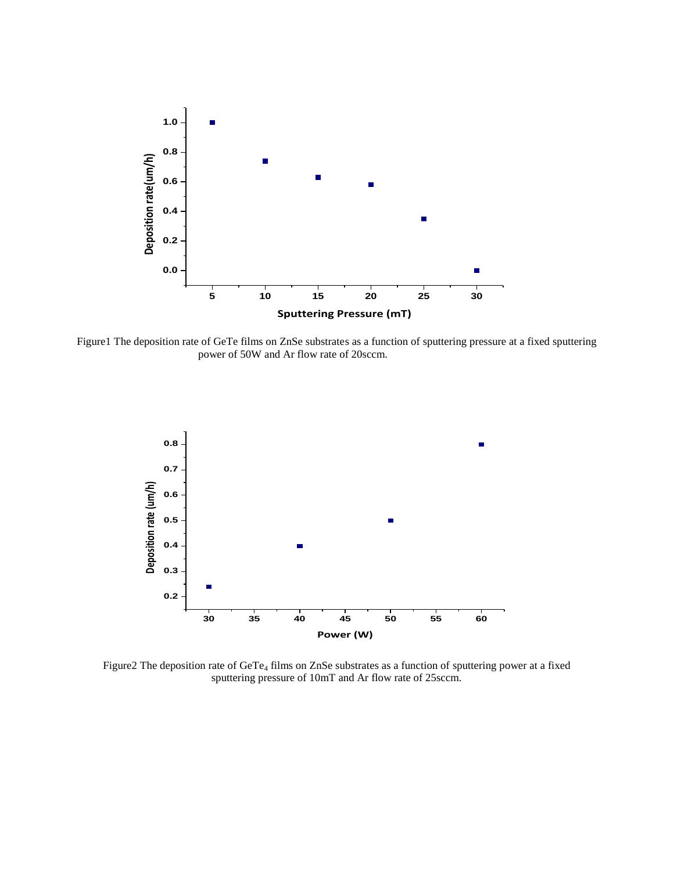

Figure1 The deposition rate of GeTe films on ZnSe substrates as a function of sputtering pressure at a fixed sputtering power of 50W and Ar flow rate of 20sccm.



Figure2 The deposition rate of GeTe<sub>4</sub> films on ZnSe substrates as a function of sputtering power at a fixed sputtering pressure of 10mT and Ar flow rate of 25sccm.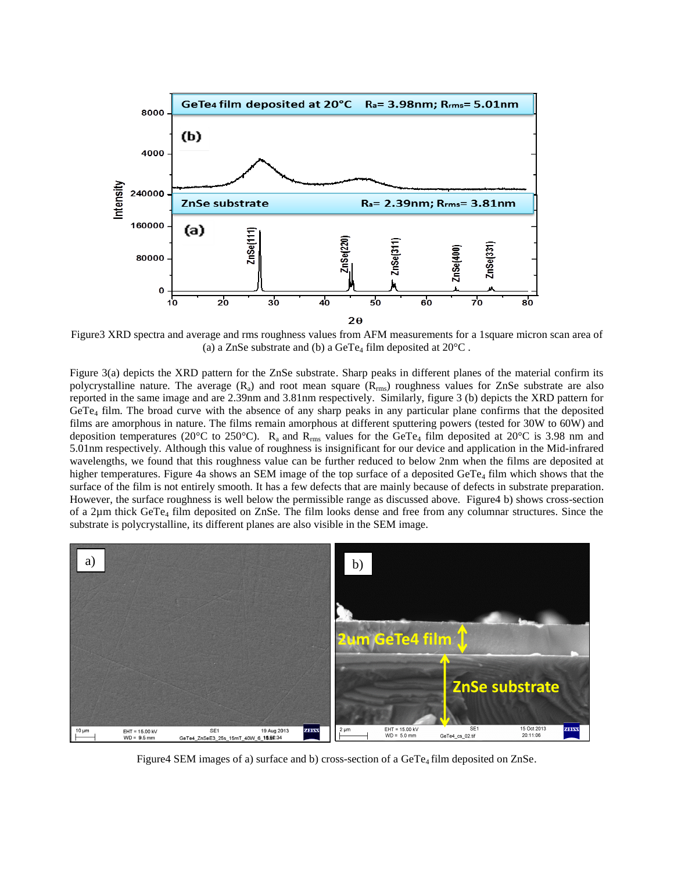

Figure3 XRD spectra and average and rms roughness values from AFM measurements for a 1square micron scan area of (a) a ZnSe substrate and (b) a GeTe<sub>4</sub> film deposited at  $20^{\circ}$ C.

Figure 3(a) depicts the XRD pattern for the ZnSe substrate. Sharp peaks in different planes of the material confirm its polycrystalline nature. The average  $(R_a)$  and root mean square  $(R_{rms})$  roughness values for ZnSe substrate are also reported in the same image and are 2.39nm and 3.81nm respectively. Similarly, figure 3 (b) depicts the XRD pattern for GeTe<sup>4</sup> film. The broad curve with the absence of any sharp peaks in any particular plane confirms that the deposited films are amorphous in nature. The films remain amorphous at different sputtering powers (tested for 30W to 60W) and deposition temperatures (20 $^{\circ}$ C to 250 $^{\circ}$ C). R<sub>a</sub> and R<sub>rms</sub> values for the GeTe<sub>4</sub> film deposited at 20 $^{\circ}$ C is 3.98 nm and 5.01nm respectively. Although this value of roughness is insignificant for our device and application in the Mid-infrared wavelengths, we found that this roughness value can be further reduced to below 2nm when the films are deposited at higher temperatures. Figure 4a shows an SEM image of the top surface of a deposited GeTe<sub>4</sub> film which shows that the surface of the film is not entirely smooth. It has a few defects that are mainly because of defects in substrate preparation. However, the surface roughness is well below the permissible range as discussed above. Figure4 b) shows cross-section of a 2µm thick GeTe<sup>4</sup> film deposited on ZnSe. The film looks dense and free from any columnar structures. Since the substrate is polycrystalline, its different planes are also visible in the SEM image.



Figure4 SEM images of a) surface and b) cross-section of a GeTe<sub>4</sub> film deposited on ZnSe.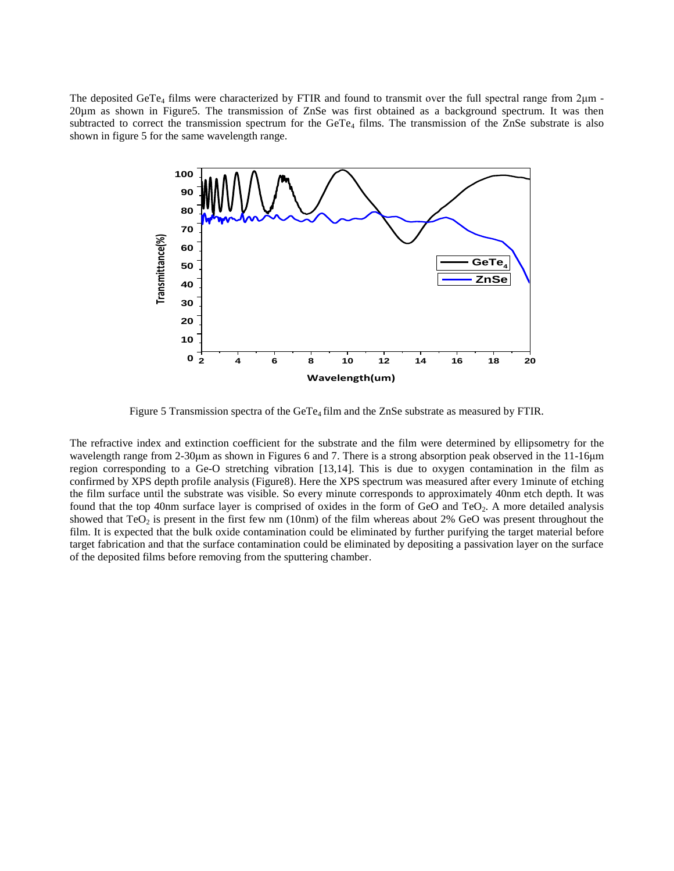The deposited GeTe<sub>4</sub> films were characterized by FTIR and found to transmit over the full spectral range from  $2\mu$ m -20µm as shown in Figure5. The transmission of ZnSe was first obtained as a background spectrum. It was then subtracted to correct the transmission spectrum for the GeTe<sub>4</sub> films. The transmission of the ZnSe substrate is also shown in figure 5 for the same wavelength range.



Figure 5 Transmission spectra of the GeT $e_4$  film and the ZnSe substrate as measured by FTIR.

The refractive index and extinction coefficient for the substrate and the film were determined by ellipsometry for the wavelength range from 2-30μm as shown in Figures 6 and 7. There is a strong absorption peak observed in the 11-16μm region corresponding to a Ge-O stretching vibration [13,14]. This is due to oxygen contamination in the film as confirmed by XPS depth profile analysis (Figure8). Here the XPS spectrum was measured after every 1minute of etching the film surface until the substrate was visible. So every minute corresponds to approximately 40nm etch depth. It was found that the top 40nm surface layer is comprised of oxides in the form of GeO and TeO<sub>2</sub>. A more detailed analysis showed that  $TeO<sub>2</sub>$  is present in the first few nm (10nm) of the film whereas about 2% GeO was present throughout the film. It is expected that the bulk oxide contamination could be eliminated by further purifying the target material before target fabrication and that the surface contamination could be eliminated by depositing a passivation layer on the surface of the deposited films before removing from the sputtering chamber.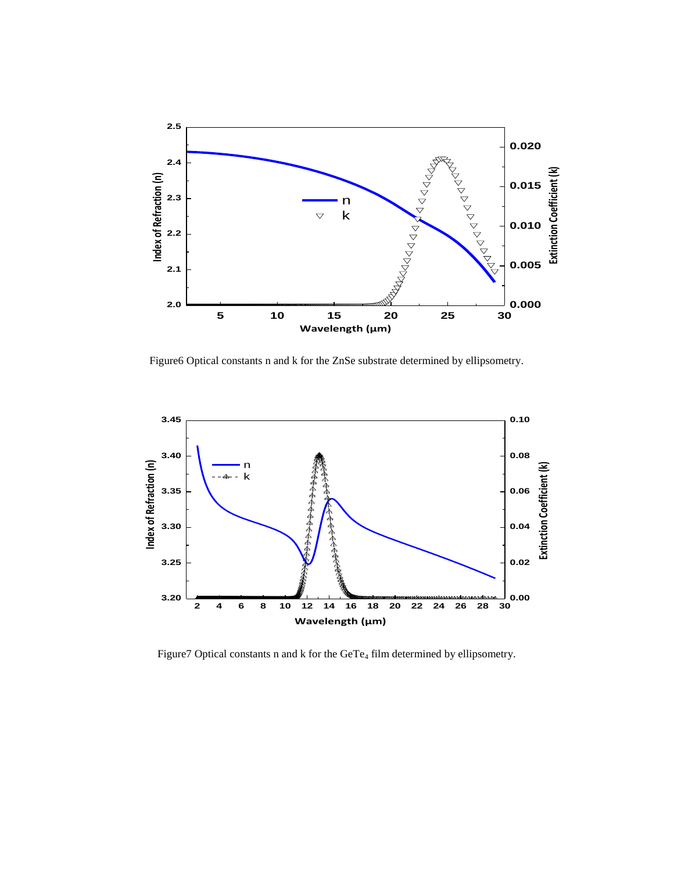

Figure6 Optical constants n and k for the ZnSe substrate determined by ellipsometry.



Figure7 Optical constants n and k for the GeTe<sub>4</sub> film determined by ellipsometry.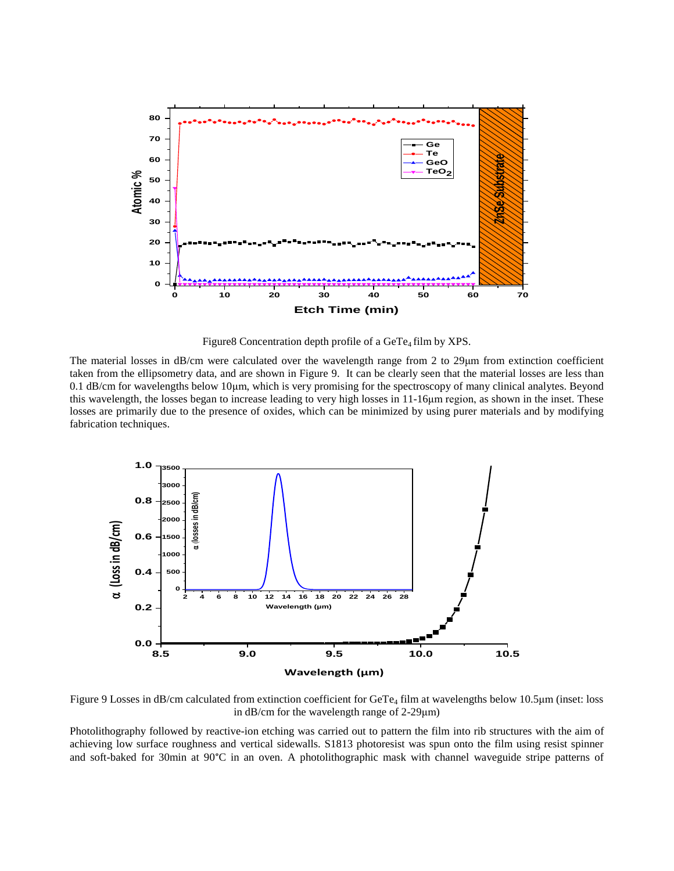

Figure8 Concentration depth profile of a GeTe<sub>4</sub> film by XPS.

The material losses in dB/cm were calculated over the wavelength range from 2 to 29μm from extinction coefficient taken from the ellipsometry data, and are shown in Figure 9. It can be clearly seen that the material losses are less than 0.1 dB/cm for wavelengths below 10μm, which is very promising for the spectroscopy of many clinical analytes. Beyond this wavelength, the losses began to increase leading to very high losses in 11-16μm region, as shown in the inset. These losses are primarily due to the presence of oxides, which can be minimized by using purer materials and by modifying fabrication techniques.



Figure 9 Losses in dB/cm calculated from extinction coefficient for GeTe<sup>4</sup> film at wavelengths below 10.5μm (inset: loss in dB/cm for the wavelength range of 2-29μm)

Photolithography followed by reactive-ion etching was carried out to pattern the film into rib structures with the aim of achieving low surface roughness and vertical sidewalls. S1813 photoresist was spun onto the film using resist spinner and soft-baked for 30min at 90°C in an oven. A photolithographic mask with channel waveguide stripe patterns of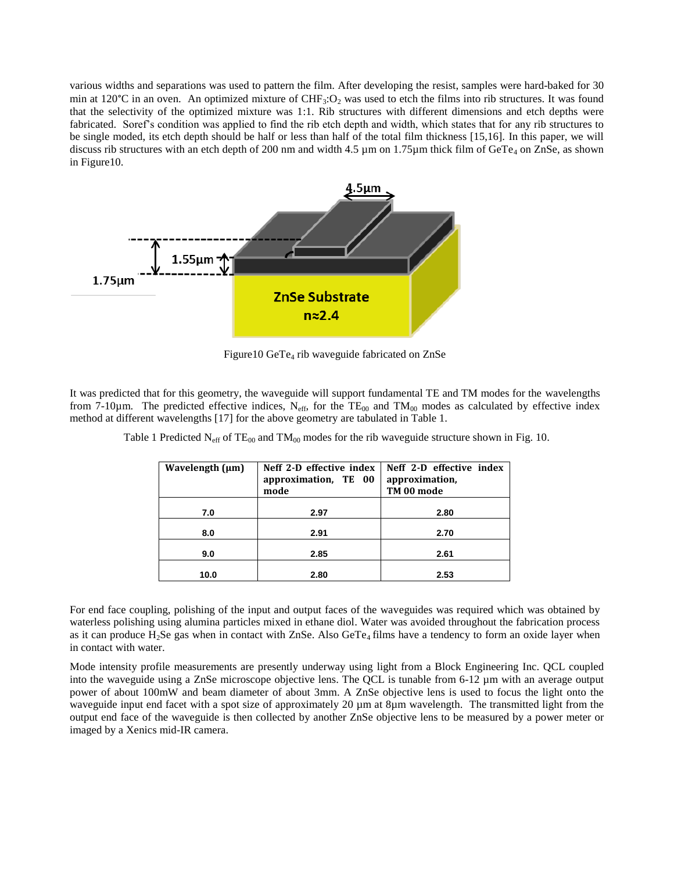various widths and separations was used to pattern the film. After developing the resist, samples were hard-baked for 30 min at 120 $^{\circ}$ C in an oven. An optimized mixture of CHF<sub>3</sub>:O<sub>2</sub> was used to etch the films into rib structures. It was found that the selectivity of the optimized mixture was 1:1. Rib structures with different dimensions and etch depths were fabricated. Soref's condition was applied to find the rib etch depth and width, which states that for any rib structures to be single moded, its etch depth should be half or less than half of the total film thickness [15,16]. In this paper, we will discuss rib structures with an etch depth of 200 nm and width 4.5  $\mu$ m on 1.75 $\mu$ m thick film of GeTe<sub>4</sub> on ZnSe, as shown in Figure10.



Figure10 GeTe<sub>4</sub> rib waveguide fabricated on ZnSe

It was predicted that for this geometry, the waveguide will support fundamental TE and TM modes for the wavelengths from 7-10 $\mu$ m. The predicted effective indices, N<sub>eff</sub>, for the TE<sub>00</sub> and TM<sub>00</sub> modes as calculated by effective index method at different wavelengths [17] for the above geometry are tabulated in Table 1.

| Wavelength (µm) | Neff 2-D effective index<br>approximation, TE 00<br>mode | Neff 2-D effective index<br>approximation,<br>TM 00 mode |
|-----------------|----------------------------------------------------------|----------------------------------------------------------|
|                 |                                                          |                                                          |
| 7.0             | 2.97                                                     | 2.80                                                     |
|                 |                                                          |                                                          |
| 8.0             | 2.91                                                     | 2.70                                                     |
|                 |                                                          |                                                          |
| 9.0             | 2.85                                                     | 2.61                                                     |
|                 |                                                          |                                                          |
| 10.0            | 2.80                                                     | 2.53                                                     |
|                 |                                                          |                                                          |

Table 1 Predicted  $N_{\text{eff}}$  of TE<sub>00</sub> and TM<sub>00</sub> modes for the rib waveguide structure shown in Fig. 10.

For end face coupling, polishing of the input and output faces of the waveguides was required which was obtained by waterless polishing using alumina particles mixed in ethane diol. Water was avoided throughout the fabrication process as it can produce  $H_2$ Se gas when in contact with ZnSe. Also GeTe<sub>4</sub> films have a tendency to form an oxide layer when in contact with water.

Mode intensity profile measurements are presently underway using light from a Block Engineering Inc. QCL coupled into the waveguide using a ZnSe microscope objective lens. The QCL is tunable from 6-12 µm with an average output power of about 100mW and beam diameter of about 3mm. A ZnSe objective lens is used to focus the light onto the waveguide input end facet with a spot size of approximately 20  $\mu$ m at 8 $\mu$ m wavelength. The transmitted light from the output end face of the waveguide is then collected by another ZnSe objective lens to be measured by a power meter or imaged by a Xenics mid-IR camera.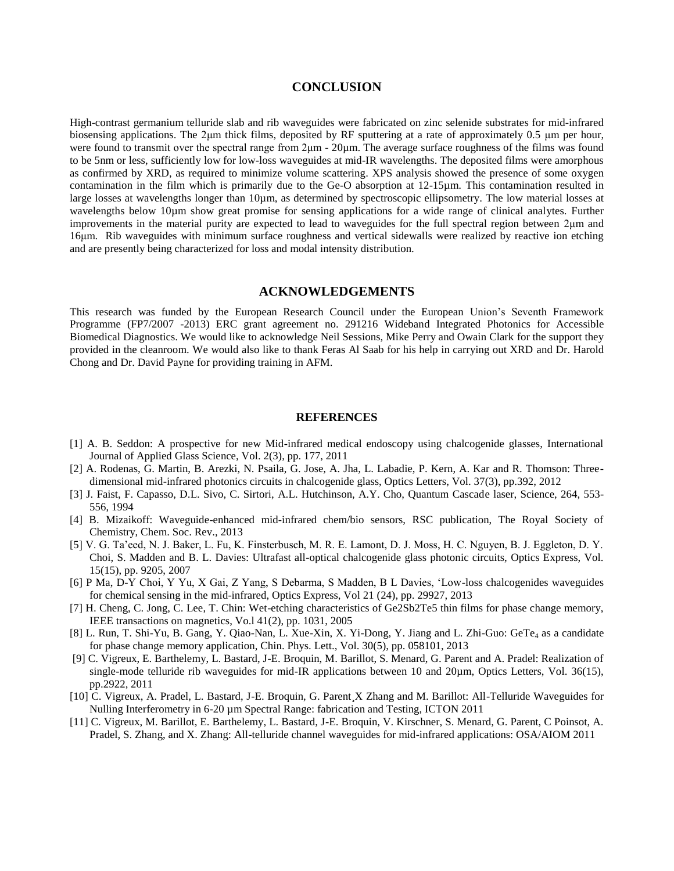#### **CONCLUSION**

High-contrast germanium telluride slab and rib waveguides were fabricated on zinc selenide substrates for mid-infrared biosensing applications. The 2μm thick films, deposited by RF sputtering at a rate of approximately 0.5 μm per hour, were found to transmit over the spectral range from 2μm - 20µm. The average surface roughness of the films was found to be 5nm or less, sufficiently low for low-loss waveguides at mid-IR wavelengths. The deposited films were amorphous as confirmed by XRD, as required to minimize volume scattering. XPS analysis showed the presence of some oxygen contamination in the film which is primarily due to the Ge-O absorption at 12-15µm. This contamination resulted in large losses at wavelengths longer than 10µm, as determined by spectroscopic ellipsometry. The low material losses at wavelengths below 10µm show great promise for sensing applications for a wide range of clinical analytes. Further improvements in the material purity are expected to lead to waveguides for the full spectral region between 2μm and 16μm. Rib waveguides with minimum surface roughness and vertical sidewalls were realized by reactive ion etching and are presently being characterized for loss and modal intensity distribution.

## **ACKNOWLEDGEMENTS**

This research was funded by the European Research Council under the European Union's Seventh Framework Programme (FP7/2007 -2013) ERC grant agreement no. 291216 Wideband Integrated Photonics for Accessible Biomedical Diagnostics. We would like to acknowledge Neil Sessions, Mike Perry and Owain Clark for the support they provided in the cleanroom. We would also like to thank Feras Al Saab for his help in carrying out XRD and Dr. Harold Chong and Dr. David Payne for providing training in AFM.

#### **REFERENCES**

- [1] A. B. Seddon: A prospective for new Mid-infrared medical endoscopy using chalcogenide glasses, International Journal of Applied Glass Science, Vol. 2(3), pp. 177, 2011
- [2] A. Rodenas, G. Martin, B. Arezki, N. Psaila, G. Jose, A. Jha, L. Labadie, P. Kern, A. Kar and R. Thomson: Threedimensional mid-infrared photonics circuits in chalcogenide glass, Optics Letters, Vol. 37(3), pp.392, 2012
- [3] J. Faist, F. Capasso, D.L. Sivo, C. Sirtori, A.L. Hutchinson, A.Y. Cho, Quantum Cascade laser, Science, 264, 553- 556, 1994
- [4] B. Mizaikoff: Waveguide-enhanced mid-infrared chem/bio sensors, RSC publication, The Royal Society of Chemistry, Chem. Soc. Rev., 2013
- [5] V. G. Ta'eed, N. J. Baker, L. Fu, K. Finsterbusch, M. R. E. Lamont, D. J. Moss, H. C. Nguyen, B. J. Eggleton, D. Y. Choi, S. Madden and B. L. Davies: Ultrafast all-optical chalcogenide glass photonic circuits, Optics Express, Vol. 15(15), pp. 9205, 2007
- [6] P Ma, D-Y Choi, Y Yu, X Gai, Z Yang, S Debarma, S Madden, B L Davies, 'Low-loss chalcogenides waveguides for chemical sensing in the mid-infrared, Optics Express, Vol 21 (24), pp. 29927, 2013
- [7] H. Cheng, C. Jong, C. Lee, T. Chin: Wet-etching characteristics of Ge2Sb2Te5 thin films for phase change memory, IEEE transactions on magnetics, Vo.l 41(2), pp. 1031, 2005
- [8] L. Run, T. Shi-Yu, B. Gang, Y. Qiao-Nan, L. Xue-Xin, X. Yi-Dong, Y. Jiang and L. Zhi-Guo: GeTe<sub>4</sub> as a candidate for phase change memory application, Chin. Phys. Lett., Vol. 30(5), pp. 058101, 2013
- [9] C. Vigreux, E. Barthelemy, L. Bastard, J-E. Broquin, M. Barillot, S. Menard, G. Parent and A. Pradel: Realization of single-mode telluride rib waveguides for mid-IR applications between 10 and 20 $\mu$ m, Optics Letters, Vol. 36(15), pp.2922, 2011
- [10] C. Vigreux, A. Pradel, L. Bastard, J-E. Broquin, G. Parent X Zhang and M. Barillot: All-Telluride Waveguides for Nulling Interferometry in 6-20  $\mu$ m Spectral Range: fabrication and Testing, ICTON 2011
- [11] C. Vigreux, M. Barillot, E. Barthelemy, L. Bastard, J-E. Broquin, V. Kirschner, S. Menard, G. Parent, C Poinsot, A. Pradel, S. Zhang, and X. Zhang: All-telluride channel waveguides for mid-infrared applications: OSA/AIOM 2011